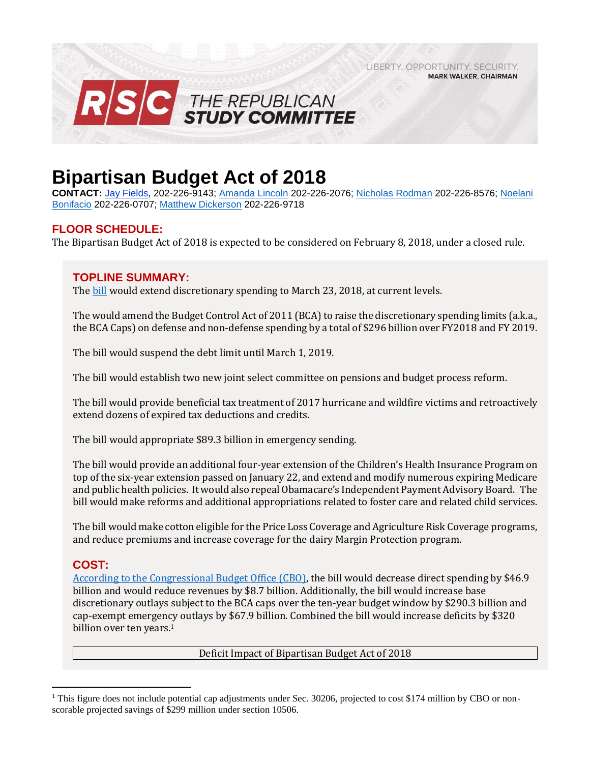LIBERTY, OPPORTUNITY, SECURITY, RSC THE REPUBLICAN

# **Bipartisan Budget Act of 2018**

**CONTACT:** Jay [Fields,](mailto:jay.fields@mail.house.gov) 202-226-9143; [Amanda Lincoln](mailto:amanda.lincoln@mail.house.gov) 202-226-2076[; Nicholas Rodman](file:///C:/Users/mdickerson/AppData/Local/Microsoft/Windows/INetCache/Content.Outlook/4VVKUYRD/Nicholas%20Rodman) 202-226-8576; [Noelani](mailto:noelani.bonifacio@mail.house.gov)  [Bonifacio](mailto:noelani.bonifacio@mail.house.gov) 202-226-0707; [Matthew Dickerson](mailto:matthew.dickerson@mail.house.gov) 202-226-9718

**MARK WALKER, CHAIRMAN** 

# **FLOOR SCHEDULE:**

The Bipartisan Budget Act of 2018 is expected to be considered on February 8, 2018, under a closed rule.

## **TOPLINE SUMMARY:**

The [bill](http://docs.house.gov/billsthisweek/20180205/BILLS-115HR1892SAmdt2.pdf) would extend discretionary spending to March 23, 2018, at current levels.

The would amend the Budget Control Act of 2011 (BCA) to raise the discretionary spending limits (a.k.a., the BCA Caps) on defense and non-defense spending by a total of \$296 billion over FY2018 and FY 2019.

The bill would suspend the debt limit until March 1, 2019.

The bill would establish two new joint select committee on pensions and budget process reform.

The bill would provide beneficial tax treatment of 2017 hurricane and wildfire victims and retroactively extend dozens of expired tax deductions and credits.

The bill would appropriate \$89.3 billion in emergency sending.

The bill would provide an additional four-year extension of the Children's Health Insurance Program on top of the six-year extension passed on January 22, and extend and modify numerous expiring Medicare and public health policies. It would also repeal Obamacare's Independent Payment Advisory Board. The bill would make reforms and additional appropriations related to foster care and related child services.

The bill would make cotton eligible for the Price Loss Coverage and Agriculture Risk Coverage programs, and reduce premiums and increase coverage for the dairy Margin Protection program.

# **COST:**

 $\overline{a}$ 

[According to the Congressional Budget Office \(CBO\),](https://www.cbo.gov/system/files/115th-congress-2017-2018/costestimate/bipartisanbudgetactof2018.pdf) the bill would decrease direct spending by \$46.9 billion and would reduce revenues by \$8.7 billion. Additionally, the bill would increase base discretionary outlays subject to the BCA caps over the ten-year budget window by \$290.3 billion and cap-exempt emergency outlays by \$67.9 billion. Combined the bill would increase deficits by \$320 billion over ten years. 1

Deficit Impact of Bipartisan Budget Act of 2018

<sup>&</sup>lt;sup>1</sup> This figure does not include potential cap adjustments under Sec. 30206, projected to cost \$174 million by CBO or nonscorable projected savings of \$299 million under section 10506.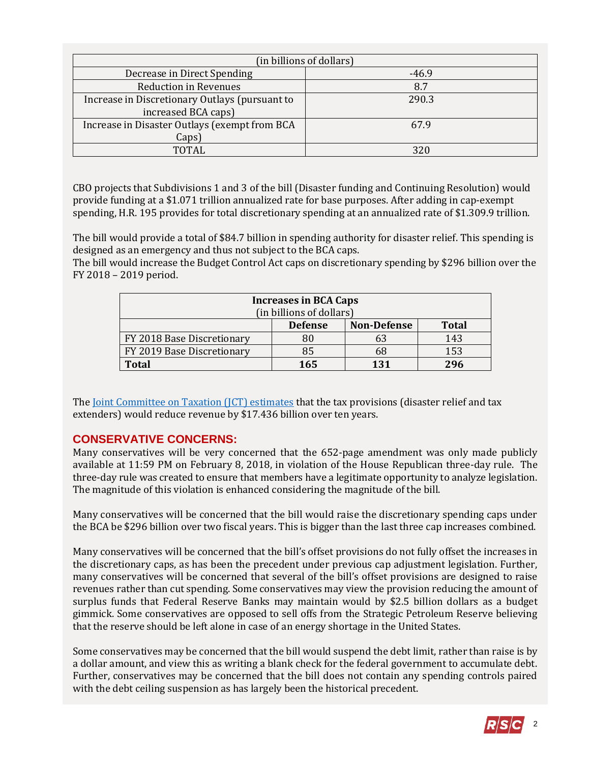| (in billions of dollars)                       |         |  |  |  |  |  |
|------------------------------------------------|---------|--|--|--|--|--|
| Decrease in Direct Spending                    | $-46.9$ |  |  |  |  |  |
| <b>Reduction in Revenues</b>                   | 8.7     |  |  |  |  |  |
| Increase in Discretionary Outlays (pursuant to | 290.3   |  |  |  |  |  |
| increased BCA caps)                            |         |  |  |  |  |  |
| Increase in Disaster Outlays (exempt from BCA  | 67.9    |  |  |  |  |  |
| Caps)                                          |         |  |  |  |  |  |
| TOTAL.                                         | 371     |  |  |  |  |  |

CBO projects that Subdivisions 1 and 3 of the bill (Disaster funding and Continuing Resolution) would provide funding at a \$1.071 trillion annualized rate for base purposes. After adding in cap-exempt spending, H.R. 195 provides for total discretionary spending at an annualized rate of \$1.309.9 trillion.

The bill would provide a total of \$84.7 billion in spending authority for disaster relief. This spending is designed as an emergency and thus not subject to the BCA caps.

The bill would increase the Budget Control Act caps on discretionary spending by \$296 billion over the FY 2018 – 2019 period.

| <b>Increases in BCA Caps</b> |                |                    |              |  |  |  |  |  |  |
|------------------------------|----------------|--------------------|--------------|--|--|--|--|--|--|
| (in billions of dollars)     |                |                    |              |  |  |  |  |  |  |
|                              | <b>Defense</b> | <b>Non-Defense</b> | <b>Total</b> |  |  |  |  |  |  |
| FY 2018 Base Discretionary   | 80             | 63                 | 143          |  |  |  |  |  |  |
| FY 2019 Base Discretionary   | 85             | 68                 | 153          |  |  |  |  |  |  |
| <b>Total</b>                 | 165            | 131                | 296          |  |  |  |  |  |  |

The [Joint Committee on Taxation \(JCT\) estimates](https://www.jct.gov/publications.html?func=startdown&id=5061) that the tax provisions (disaster relief and tax extenders) would reduce revenue by \$17.436 billion over ten years.

# **CONSERVATIVE CONCERNS:**

Many conservatives will be very concerned that the 652-page amendment was only made publicly available at 11:59 PM on February 8, 2018, in violation of the House Republican three-day rule. The three-day rule was created to ensure that members have a legitimate opportunity to analyze legislation. The magnitude of this violation is enhanced considering the magnitude of the bill.

Many conservatives will be concerned that the bill would raise the discretionary spending caps under the BCA be \$296 billion over two fiscal years. This is bigger than the last three cap increases combined.

Many conservatives will be concerned that the bill's offset provisions do not fully offset the increases in the discretionary caps, as has been the precedent under previous cap adjustment legislation. Further, many conservatives will be concerned that several of the bill's offset provisions are designed to raise revenues rather than cut spending. Some conservatives may view the provision reducing the amount of surplus funds that Federal Reserve Banks may maintain would by \$2.5 billion dollars as a budget gimmick. Some conservatives are opposed to sell offs from the Strategic Petroleum Reserve believing that the reserve should be left alone in case of an energy shortage in the United States.

Some conservatives may be concerned that the bill would suspend the debt limit, rather than raise is by a dollar amount, and view this as writing a blank check for the federal government to accumulate debt. Further, conservatives may be concerned that the bill does not contain any spending controls paired with the debt ceiling suspension as has largely been the historical precedent.

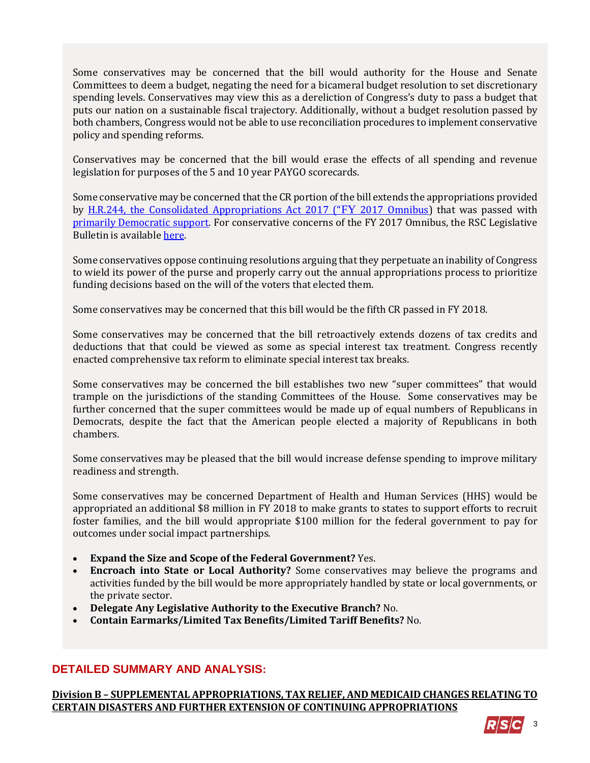Some conservatives may be concerned that the bill would authority for the House and Senate Committees to deem a budget, negating the need for a bicameral budget resolution to set discretionary spending levels. Conservatives may view this as a dereliction of Congress's duty to pass a budget that puts our nation on a sustainable fiscal trajectory. Additionally, without a budget resolution passed by both chambers, Congress would not be able to use reconciliation procedures to implement conservative policy and spending reforms.

Conservatives may be concerned that the bill would erase the effects of all spending and revenue legislation for purposes of the 5 and 10 year PAYGO scorecards.

Some conservative may be concerned that the CR portion of the bill extends the appropriations provided by [H.R.244, the Consolidated Appropriations Act 2017 \("](http://rsc.walker.house.gov/files/2017LB/RSC_Legislative_Bulletin_HR_244_FY_2017_Omnibus_May_3_2017.pdf)FY [2017 Omnibus\)](http://rsc.walker.house.gov/files/2017LB/RSC_Legislative_Bulletin_HR_244_FY_2017_Omnibus_May_3_2017.pdf) that was passed with [primarily Democratic support.](http://clerk.house.gov/evs/2017/roll249.xml) For conservative concerns of the FY 2017 Omnibus, the RSC Legislative Bulletin is available [here.](https://gallery.mailchimp.com/d4254037a343b683d142111e0/files/86067b86-49d6-4a66-bc77-1f24be4448e0/RSC_Legislative_Bulletin_HR_601_Hurricane_Supplemental_Debt_Limit_CR_September_8_2017.pdf)

Some conservatives oppose continuing resolutions arguing that they perpetuate an inability of Congress to wield its power of the purse and properly carry out the annual appropriations process to prioritize funding decisions based on the will of the voters that elected them.

Some conservatives may be concerned that this bill would be the fifth CR passed in FY 2018.

Some conservatives may be concerned that the bill retroactively extends dozens of tax credits and deductions that that could be viewed as some as special interest tax treatment. Congress recently enacted comprehensive tax reform to eliminate special interest tax breaks.

Some conservatives may be concerned the bill establishes two new "super committees" that would trample on the jurisdictions of the standing Committees of the House. Some conservatives may be further concerned that the super committees would be made up of equal numbers of Republicans in Democrats, despite the fact that the American people elected a majority of Republicans in both chambers.

Some conservatives may be pleased that the bill would increase defense spending to improve military readiness and strength.

Some conservatives may be concerned Department of Health and Human Services (HHS) would be appropriated an additional \$8 million in FY 2018 to make grants to states to support efforts to recruit foster families, and the bill would appropriate \$100 million for the federal government to pay for outcomes under social impact partnerships.

- **Expand the Size and Scope of the Federal Government?** Yes.
- **Encroach into State or Local Authority?** Some conservatives may believe the programs and activities funded by the bill would be more appropriately handled by state or local governments, or the private sector.
- **Delegate Any Legislative Authority to the Executive Branch?** No.
- **Contain Earmarks/Limited Tax Benefits/Limited Tariff Benefits?** No.

# **DETAILED SUMMARY AND ANALYSIS:**

**Division B – SUPPLEMENTAL APPROPRIATIONS, TAX RELIEF, AND MEDICAID CHANGES RELATING TO CERTAIN DISASTERS AND FURTHER EXTENSION OF CONTINUING APPROPRIATIONS**

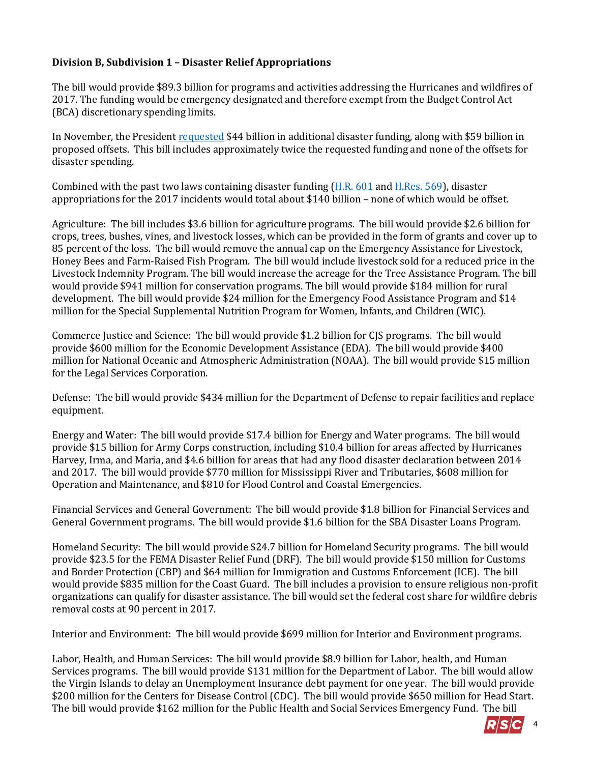## **Division B, Subdivision 1 – Disaster Relief Appropriations**

The bill would provide \$89.3 billion for programs and activities addressing the Hurricanes and wildfires of 2017. The funding would be emergency designated and therefore exempt from the Budget Control Act (BCA) discretionary spending limits.

In November, the President [requested](https://www.whitehouse.gov/sites/whitehouse.gov/files/omb/Letters/fy_2018_hurricanes_supp_111717.pdf) \$44 billion in additional disaster funding, along with \$59 billion in proposed offsets. This bill includes approximately twice the requested funding and none of the offsets for disaster spending.

Combined with the past two laws containing disaster funding [\(H.R. 601](https://gallery.mailchimp.com/d4254037a343b683d142111e0/files/86067b86-49d6-4a66-bc77-1f24be4448e0/RSC_Legislative_Bulletin_HR_601_Hurricane_Supplemental_Debt_Limit_CR_September_8_2017.pdf) an[d H.Res. 569\)](https://gallery.mailchimp.com/d4254037a343b683d142111e0/files/b7724285-4ed4-458a-996a-1652a1447149/RSC_Legislative_Bulletin_H.R._4008_Making_additional_supplemental_appropriations_for_disaster_relief_October_12_2017.02.pdf), disaster appropriations for the 2017 incidents would total about \$140 billion – none of which would be offset.

Agriculture: The bill includes \$3.6 billion for agriculture programs. The bill would provide \$2.6 billion for crops, trees, bushes, vines, and livestock losses, which can be provided in the form of grants and cover up to 85 percent of the loss. The bill would remove the annual cap on the Emergency Assistance for Livestock, Honey Bees and Farm-Raised Fish Program. The bill would include livestock sold for a reduced price in the Livestock Indemnity Program. The bill would increase the acreage for the Tree Assistance Program. The bill would provide \$941 million for conservation programs. The bill would provide \$184 million for rural development. The bill would provide \$24 million for the Emergency Food Assistance Program and \$14 million for the Special Supplemental Nutrition Program for Women, Infants, and Children (WIC).

Commerce Justice and Science: The bill would provide \$1.2 billion for CJS programs. The bill would provide \$600 million for the Economic Development Assistance (EDA). The bill would provide \$400 million for National Oceanic and Atmospheric Administration (NOAA). The bill would provide \$15 million for the Legal Services Corporation.

Defense: The bill would provide \$434 million for the Department of Defense to repair facilities and replace equipment.

Energy and Water: The bill would provide \$17.4 billion for Energy and Water programs. The bill would provide \$15 billion for Army Corps construction, including \$10.4 billion for areas affected by Hurricanes Harvey, Irma, and Maria, and \$4.6 billion for areas that had any flood disaster declaration between 2014 and 2017. The bill would provide \$770 million for Mississippi River and Tributaries, \$608 million for Operation and Maintenance, and \$810 for Flood Control and Coastal Emergencies.

Financial Services and General Government: The bill would provide \$1.8 billion for Financial Services and General Government programs. The bill would provide \$1.6 billion for the SBA Disaster Loans Program.

Homeland Security: The bill would provide \$24.7 billion for Homeland Security programs. The bill would provide \$23.5 for the FEMA Disaster Relief Fund (DRF). The bill would provide \$150 million for Customs and Border Protection (CBP) and \$64 million for Immigration and Customs Enforcement (ICE). The bill would provide \$835 million for the Coast Guard. The bill includes a provision to ensure religious non-profit organizations can qualify for disaster assistance. The bill would set the federal cost share for wildfire debris removal costs at 90 percent in 2017.

Interior and Environment: The bill would provide \$699 million for Interior and Environment programs.

Labor, Health, and Human Services: The bill would provide \$8.9 billion for Labor, health, and Human Services programs. The bill would provide \$131 million for the Department of Labor. The bill would allow the Virgin Islands to delay an Unemployment Insurance debt payment for one year. The bill would provide \$200 million for the Centers for Disease Control (CDC). The bill would provide \$650 million for Head Start. The bill would provide \$162 million for the Public Health and Social Services Emergency Fund. The bill

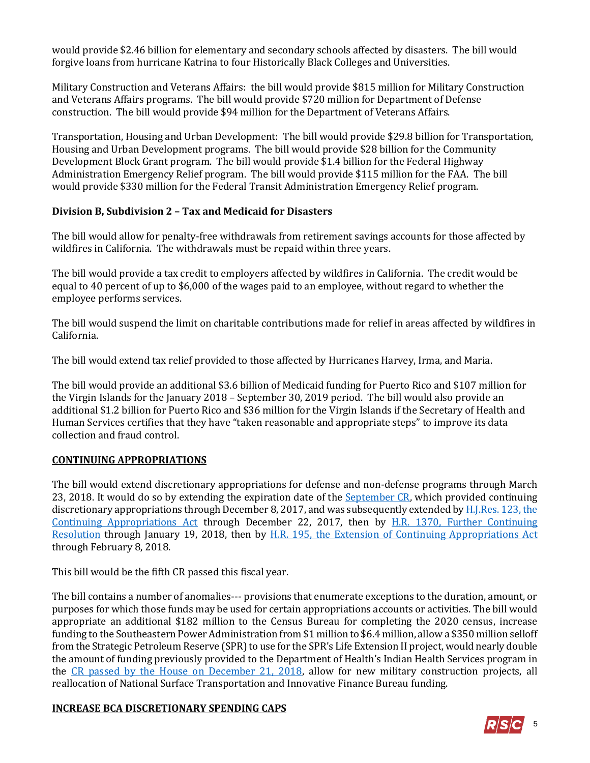would provide \$2.46 billion for elementary and secondary schools affected by disasters. The bill would forgive loans from hurricane Katrina to four Historically Black Colleges and Universities.

Military Construction and Veterans Affairs: the bill would provide \$815 million for Military Construction and Veterans Affairs programs. The bill would provide \$720 million for Department of Defense construction. The bill would provide \$94 million for the Department of Veterans Affairs.

Transportation, Housing and Urban Development: The bill would provide \$29.8 billion for Transportation, Housing and Urban Development programs. The bill would provide \$28 billion for the Community Development Block Grant program. The bill would provide \$1.4 billion for the Federal Highway Administration Emergency Relief program. The bill would provide \$115 million for the FAA. The bill would provide \$330 million for the Federal Transit Administration Emergency Relief program.

#### **Division B, Subdivision 2 – Tax and Medicaid for Disasters**

The bill would allow for penalty-free withdrawals from retirement savings accounts for those affected by wildfires in California. The withdrawals must be repaid within three years.

The bill would provide a tax credit to employers affected by wildfires in California. The credit would be equal to 40 percent of up to \$6,000 of the wages paid to an employee, without regard to whether the employee performs services.

The bill would suspend the limit on charitable contributions made for relief in areas affected by wildfires in California.

The bill would extend tax relief provided to those affected by Hurricanes Harvey, Irma, and Maria.

The bill would provide an additional \$3.6 billion of Medicaid funding for Puerto Rico and \$107 million for the Virgin Islands for the January 2018 – September 30, 2019 period. The bill would also provide an additional \$1.2 billion for Puerto Rico and \$36 million for the Virgin Islands if the Secretary of Health and Human Services certifies that they have "taken reasonable and appropriate steps" to improve its data collection and fraud control.

#### **CONTINUING APPROPRIATIONS**

The bill would extend discretionary appropriations for defense and non-defense programs through March 23, 2018. It would do so by extending the expiration date of the [September CR,](https://gallery.mailchimp.com/d4254037a343b683d142111e0/files/86067b86-49d6-4a66-bc77-1f24be4448e0/RSC_Legislative_Bulletin_HR_601_Hurricane_Supplemental_Debt_Limit_CR_September_8_2017.pdf) which provided continuing discretionary appropriations through December 8, 2017, and was subsequently extended by [H.J.Res. 123, the](https://gallery.mailchimp.com/d4254037a343b683d142111e0/files/7b9c40c5-76fb-4cc5-abbc-ad8e9f1f5b16/LB_HJRes_123_Dec_8_CR_FINAL.pdf)  [Continuing Appropriations Act](https://gallery.mailchimp.com/d4254037a343b683d142111e0/files/7b9c40c5-76fb-4cc5-abbc-ad8e9f1f5b16/LB_HJRes_123_Dec_8_CR_FINAL.pdf) through December 22, 2017, then by [H.R. 1370, Further Continuing](https://gallery.mailchimp.com/d4254037a343b683d142111e0/files/a56b88ed-0bc9-41df-befa-47f620eb0091/LB_Continuing_Resolution_Dec_22_FINAL.01.pdf)  [Resolution](https://gallery.mailchimp.com/d4254037a343b683d142111e0/files/a56b88ed-0bc9-41df-befa-47f620eb0091/LB_Continuing_Resolution_Dec_22_FINAL.01.pdf) through January 19, 2018, then by [H.R. 195, the Extension of Continuing Appropriations Act](https://gallery.mailchimp.com/d4254037a343b683d142111e0/files/ca799667-81aa-48b5-9171-eb873788463a/LB_Short_Term_CR_Jan_19_2018_to_Feb_8_FINAL.pdf) through February 8, 2018.

This bill would be the fifth CR passed this fiscal year.

The bill contains a number of anomalies--- provisions that enumerate exceptions to the duration, amount, or purposes for which those funds may be used for certain appropriations accounts or activities. The bill would appropriate an additional \$182 million to the Census Bureau for completing the 2020 census, increase funding to the Southeastern Power Administration from \$1 million to \$6.4 million, allow a \$350 million selloff from the Strategic Petroleum Reserve (SPR) to use for the SPR's Life Extension II project, would nearly double the amount of funding previously provided to the Department of Health's Indian Health Services program in the [CR passed by the House on December 21, 2018,](https://gallery.mailchimp.com/d4254037a343b683d142111e0/files/a56b88ed-0bc9-41df-befa-47f620eb0091/LB_Continuing_Resolution_Dec_22_FINAL.01.pdf) allow for new military construction projects, all reallocation of National Surface Transportation and Innovative Finance Bureau funding.

#### **INCREASE BCA DISCRETIONARY SPENDING CAPS**

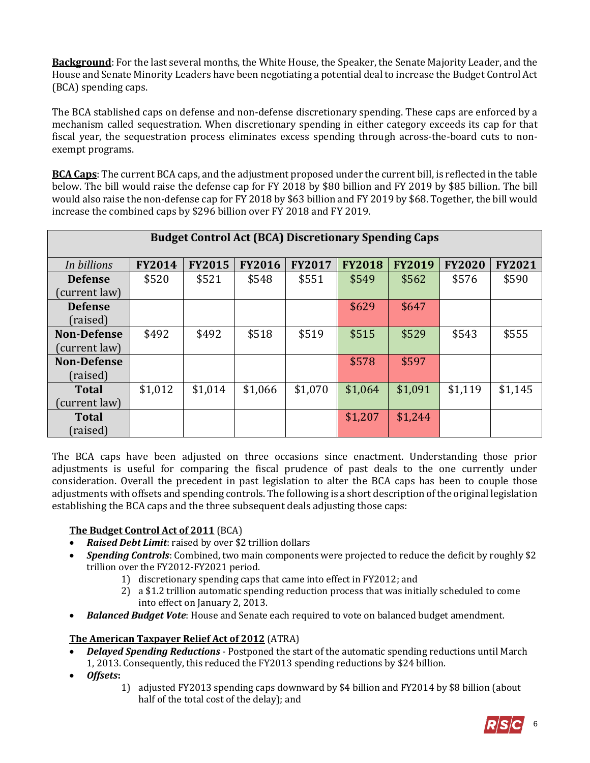**Background**: For the last several months, the White House, the Speaker, the Senate Majority Leader, and the House and Senate Minority Leaders have been negotiating a potential deal to increase the Budget Control Act (BCA) spending caps.

The BCA stablished caps on defense and non-defense discretionary spending. These caps are enforced by a mechanism called sequestration. When discretionary spending in either category exceeds its cap for that fiscal year, the sequestration process eliminates excess spending through across-the-board cuts to nonexempt programs.

**BCA Caps**: The current BCA caps, and the adjustment proposed under the current bill, is reflected in the table below. The bill would raise the defense cap for FY 2018 by \$80 billion and FY 2019 by \$85 billion. The bill would also raise the non-defense cap for FY 2018 by \$63 billion and FY 2019 by \$68. Together, the bill would increase the combined caps by \$296 billion over FY 2018 and FY 2019.

| <b>Budget Control Act (BCA) Discretionary Spending Caps</b> |               |               |               |               |               |               |               |               |  |  |
|-------------------------------------------------------------|---------------|---------------|---------------|---------------|---------------|---------------|---------------|---------------|--|--|
| In billions                                                 | <b>FY2014</b> | <b>FY2015</b> | <b>FY2016</b> | <b>FY2017</b> | <b>FY2018</b> | <b>FY2019</b> | <b>FY2020</b> | <b>FY2021</b> |  |  |
| <b>Defense</b>                                              | \$520         | \$521         | \$548         | \$551         | \$549         | \$562         | \$576         | \$590         |  |  |
| current law)                                                |               |               |               |               |               |               |               |               |  |  |
| <b>Defense</b>                                              |               |               |               |               | \$629         | \$647         |               |               |  |  |
| (raised)                                                    |               |               |               |               |               |               |               |               |  |  |
| <b>Non-Defense</b>                                          | \$492         | \$492         | \$518         | \$519         | \$515         | \$529         | \$543         | \$555         |  |  |
| (current law)                                               |               |               |               |               |               |               |               |               |  |  |
| <b>Non-Defense</b>                                          |               |               |               |               | \$578         | \$597         |               |               |  |  |
| (raised)                                                    |               |               |               |               |               |               |               |               |  |  |
| <b>Total</b>                                                | \$1,012       | \$1,014       | \$1,066       | \$1,070       | \$1,064       | \$1,091       | \$1,119       | \$1,145       |  |  |
| current law)                                                |               |               |               |               |               |               |               |               |  |  |
| <b>Total</b>                                                |               |               |               |               | \$1,207       | \$1,244       |               |               |  |  |
| (raised)                                                    |               |               |               |               |               |               |               |               |  |  |

The BCA caps have been adjusted on three occasions since enactment. Understanding those prior adjustments is useful for comparing the fiscal prudence of past deals to the one currently under consideration. Overall the precedent in past legislation to alter the BCA caps has been to couple those adjustments with offsets and spending controls. The following is a short description of the original legislation establishing the BCA caps and the three subsequent deals adjusting those caps:

#### **The Budget Control Act of 2011** (BCA)

- *Raised Debt Limit*: raised by over \$2 trillion dollars
- *Spending Controls*: Combined, two main components were projected to reduce the deficit by roughly \$2 trillion over the FY2012-FY2021 period.
	- 1) discretionary spending caps that came into effect in FY2012; and
	- 2) a \$1.2 trillion automatic spending reduction process that was initially scheduled to come into effect on January 2, 2013.
- *Balanced Budget Vote*: House and Senate each required to vote on balanced budget amendment.

#### **The American Taxpayer Relief Act of 2012** (ATRA)

- *Delayed Spending Reductions* Postponed the start of the automatic spending reductions until March 1, 2013. Consequently, this reduced the FY2013 spending reductions by \$24 billion.
- *Offsets***:** 
	- 1) adjusted FY2013 spending caps downward by \$4 billion and FY2014 by \$8 billion (about half of the total cost of the delay); and

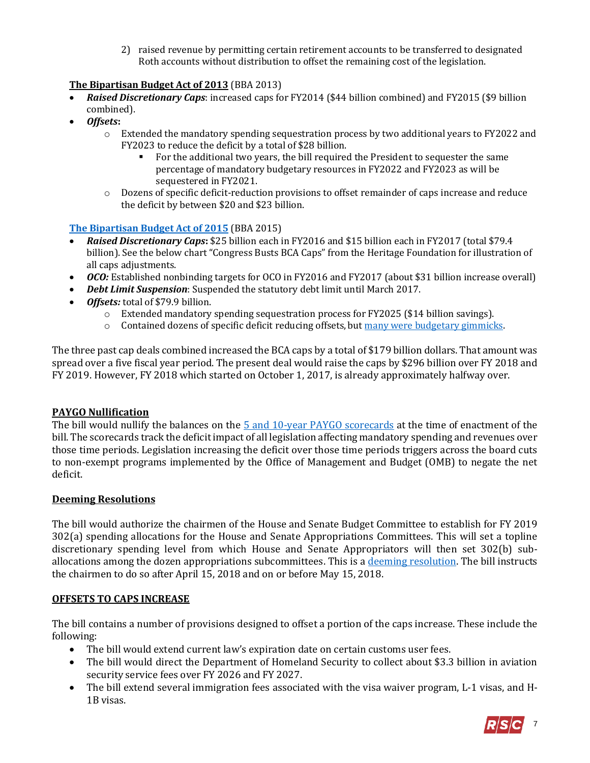2) raised revenue by permitting certain retirement accounts to be transferred to designated Roth accounts without distribution to offset the remaining cost of the legislation.

# **The Bipartisan Budget Act of 2013** (BBA 2013)

- *Raised Discretionary Caps*: increased caps for FY2014 (\$44 billion combined) and FY2015 (\$9 billion combined).
- *Offsets***:** 
	- o Extended the mandatory spending sequestration process by two additional years to FY2022 and FY2023 to reduce the deficit by a total of \$28 billion.
		- For the additional two years, the bill required the President to sequester the same percentage of mandatory budgetary resources in FY2022 and FY2023 as will be sequestered in FY2021.
	- o Dozens of specific deficit-reduction provisions to offset remainder of caps increase and reduce the deficit by between \$20 and \$23 billion.

#### **[The Bipartisan Budget Act of 2015](https://rsc-walker.house.gov/sites/republicanstudycommittee.house.gov/files/2015LB/RSC%20Legislative%20Bulletin%20--%20HR%201314%20Bipartisan%20Budget%20Act%20of%202015%20-%20Updated%20with%20Amendment%20--%20October%2028%202015.pdf)** (BBA 2015)

- *Raised Discretionary Caps***:** \$25 billion each in FY2016 and \$15 billion each in FY2017 (total \$79.4 billion). See the below chart "Congress Busts BCA Caps" from the Heritage Foundation for illustration of all caps adjustments.
- *OCO:* Established nonbinding targets for OCO in FY2016 and FY2017 (about \$31 billion increase overall)
- *Debt Limit Suspension*: Suspended the statutory debt limit until March 2017.
- *Offsets:* total of \$79.9 billion.
	- $\circ$  Extended mandatory spending sequestration process for FY2025 (\$14 billion savings).
	- $\circ$  Contained dozens of specific deficit reducing offsets, bu[t many were budgetary gimmicks.](https://rsc-walker.house.gov/sites/republicanstudycommittee.house.gov/files/2015LB/RSC%20Legislative%20Bulletin%20--%20HR%201314%20Bipartisan%20Budget%20Act%20of%202015%20-%20Updated%20with%20Amendment%20--%20October%2028%202015.pdf)

The three past cap deals combined increased the BCA caps by a total of \$179 billion dollars. That amount was spread over a five fiscal year period. The present deal would raise the caps by \$296 billion over FY 2018 and FY 2019. However, FY 2018 which started on October 1, 2017, is already approximately halfway over.

#### **PAYGO Nullification**

The bill would nullify the balances on the [5 and 10-year PAYGO scorecards](https://obamawhitehouse.archives.gov/omb/paygo_description/) at the time of enactment of the bill. The scorecards track the deficit impact of all legislation affecting mandatory spending and revenues over those time periods. Legislation increasing the deficit over those time periods triggers across the board cuts to non-exempt programs implemented by the Office of Management and Budget (OMB) to negate the net deficit.

#### **Deeming Resolutions**

The bill would authorize the chairmen of the House and Senate Budget Committee to establish for FY 2019 302(a) spending allocations for the House and Senate Appropriations Committees. This will set a topline discretionary spending level from which House and Senate Appropriators will then set 302(b) suballocations among the dozen appropriations subcommittees. This is a deeming [resolution.](https://fas.org/sgp/crs/misc/RL31443.pdf) The bill instructs the chairmen to do so after April 15, 2018 and on or before May 15, 2018.

#### **OFFSETS TO CAPS INCREASE**

The bill contains a number of provisions designed to offset a portion of the caps increase. These include the following:

- The bill would extend current law's expiration date on certain customs user fees.
- The bill would direct the Department of Homeland Security to collect about \$3.3 billion in aviation security service fees over FY 2026 and FY 2027.
- The bill extend several immigration fees associated with the visa waiver program, L-1 visas, and H-1B visas.

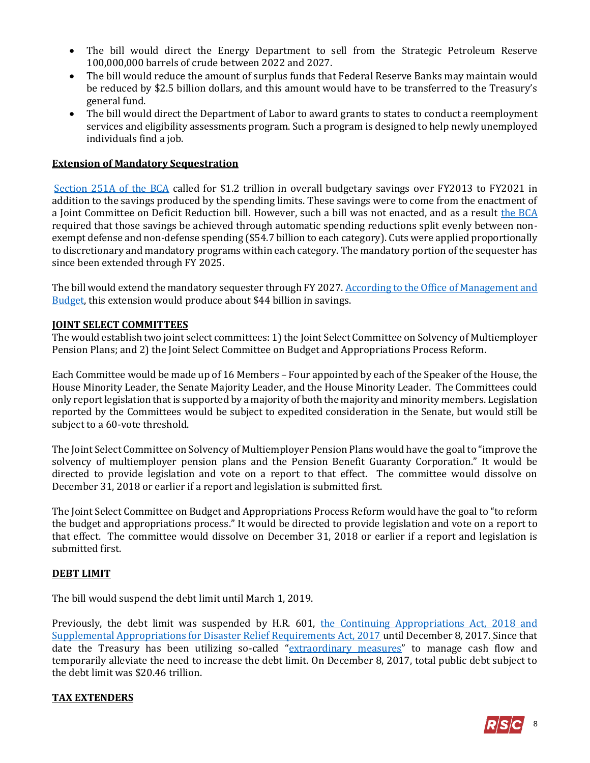- The bill would direct the Energy Department to sell from the Strategic Petroleum Reserve 100,000,000 barrels of crude between 2022 and 2027.
- The bill would reduce the amount of surplus funds that Federal Reserve Banks may maintain would be reduced by \$2.5 billion dollars, and this amount would have to be transferred to the Treasury's general fund.
- The bill would direct the Department of Labor to award grants to states to conduct a reemployment services and eligibility assessments program. Such a program is designed to help newly unemployed individuals find a job.

#### **Extension of Mandatory Sequestration**

[Section 251A of the BCA](https://www.law.cornell.edu/uscode/text/2/901a) called for \$1.2 trillion in overall budgetary savings over FY2013 to FY2021 in addition to the savings produced by the spending limits. These savings were to come from the enactment of a Joint Committee on Deficit Reduction bill. However, such a bill was not enacted, and as a result [the BCA](https://www.law.cornell.edu/uscode/text/2/901a) required that those savings be achieved through automatic spending reductions split evenly between nonexempt defense and non-defense spending (\$54.7 billion to each category). Cuts were applied proportionally to discretionary and mandatory programs within each category. The mandatory portion of the sequester has since been extended through FY 2025.

The bill would extend the mandatory sequester through FY 2027. According to the Office of Management and [Budget,](https://www.whitehouse.gov/sites/whitehouse.gov/files/omb/Letters/fy_2018_hurricanes_supp_111717.pdf) this extension would produce about \$44 billion in savings.

#### **JOINT SELECT COMMITTEES**

The would establish two joint select committees: 1) the Joint Select Committee on Solvency of Multiemployer Pension Plans; and 2) the Joint Select Committee on Budget and Appropriations Process Reform.

Each Committee would be made up of 16 Members – Four appointed by each of the Speaker of the House, the House Minority Leader, the Senate Majority Leader, and the House Minority Leader. The Committees could only report legislation that is supported by a majority of both the majority and minority members. Legislation reported by the Committees would be subject to expedited consideration in the Senate, but would still be subject to a 60-vote threshold.

The Joint Select Committee on Solvency of Multiemployer Pension Plans would have the goal to "improve the solvency of multiemployer pension plans and the Pension Benefit Guaranty Corporation." It would be directed to provide legislation and vote on a report to that effect. The committee would dissolve on December 31, 2018 or earlier if a report and legislation is submitted first.

The Joint Select Committee on Budget and Appropriations Process Reform would have the goal to "to reform the budget and appropriations process." It would be directed to provide legislation and vote on a report to that effect. The committee would dissolve on December 31, 2018 or earlier if a report and legislation is submitted first.

#### **DEBT LIMIT**

The bill would suspend the debt limit until March 1, 2019.

Previously, the debt limit was suspended by H.R. 601, the Continuing Appropriations Act, 2018 and [Supplemental Appropriations for Disaster Relief Requirements Act, 2017](https://gallery.mailchimp.com/d4254037a343b683d142111e0/files/86067b86-49d6-4a66-bc77-1f24be4448e0/RSC_Legislative_Bulletin_HR_601_Hurricane_Supplemental_Debt_Limit_CR_September_8_2017.pdf) until December 8, 2017. Since that date the Treasury has been utilizing so-called "[extraordinary measures](https://bipartisanpolicy.org/library/simplified-extraordinary-measures/)" to manage cash flow and temporarily alleviate the need to increase the debt limit. On December 8, 2017, total public debt subject to the debt limit was \$20.46 trillion.

#### **TAX EXTENDERS**

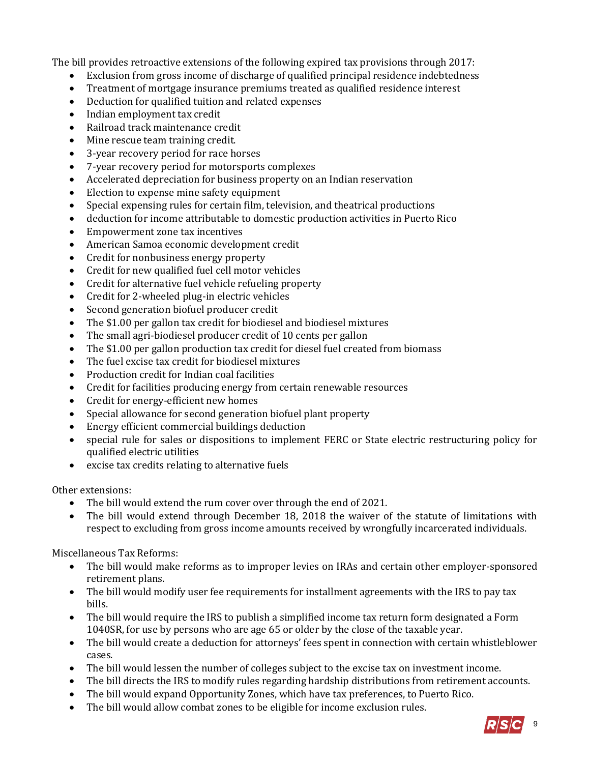The bill provides retroactive extensions of the following expired tax provisions through 2017:

- Exclusion from gross income of discharge of qualified principal residence indebtedness
- Treatment of mortgage insurance premiums treated as qualified residence interest
- Deduction for qualified tuition and related expenses
- Indian employment tax credit
- Railroad track maintenance credit
- Mine rescue team training credit.
- 3-year recovery period for race horses
- 7-year recovery period for motorsports complexes
- Accelerated depreciation for business property on an Indian reservation
- Election to expense mine safety equipment
- Special expensing rules for certain film, television, and theatrical productions
- deduction for income attributable to domestic production activities in Puerto Rico
- Empowerment zone tax incentives
- American Samoa economic development credit
- Credit for nonbusiness energy property
- Credit for new qualified fuel cell motor vehicles
- Credit for alternative fuel vehicle refueling property
- Credit for 2-wheeled plug-in electric vehicles
- Second generation biofuel producer credit
- The \$1.00 per gallon tax credit for biodiesel and biodiesel mixtures
- The small agri-biodiesel producer credit of 10 cents per gallon
- The \$1.00 per gallon production tax credit for diesel fuel created from biomass
- The fuel excise tax credit for biodiesel mixtures
- Production credit for Indian coal facilities
- Credit for facilities producing energy from certain renewable resources
- Credit for energy-efficient new homes
- Special allowance for second generation biofuel plant property
- Energy efficient commercial buildings deduction
- special rule for sales or dispositions to implement FERC or State electric restructuring policy for qualified electric utilities
- excise tax credits relating to alternative fuels

Other extensions:

- The bill would extend the rum cover over through the end of 2021.
- The bill would extend through December 18, 2018 the waiver of the statute of limitations with respect to excluding from gross income amounts received by wrongfully incarcerated individuals.

Miscellaneous Tax Reforms:

- The bill would make reforms as to improper levies on IRAs and certain other employer-sponsored retirement plans.
- The bill would modify user fee requirements for installment agreements with the IRS to pay tax bills.
- The bill would require the IRS to publish a simplified income tax return form designated a Form 1040SR, for use by persons who are age 65 or older by the close of the taxable year.
- The bill would create a deduction for attorneys' fees spent in connection with certain whistleblower cases.
- The bill would lessen the number of colleges subject to the excise tax on investment income.
- The bill directs the IRS to modify rules regarding hardship distributions from retirement accounts.
- The bill would expand Opportunity Zones, which have tax preferences, to Puerto Rico.
- The bill would allow combat zones to be eligible for income exclusion rules.

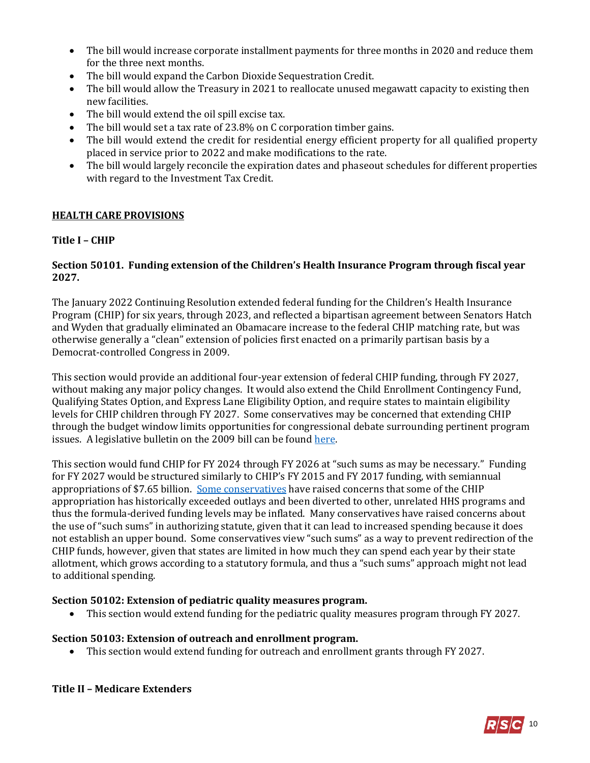- The bill would increase corporate installment payments for three months in 2020 and reduce them for the three next months.
- The bill would expand the Carbon Dioxide Sequestration Credit.
- The bill would allow the Treasury in 2021 to reallocate unused megawatt capacity to existing then new facilities.
- The bill would extend the oil spill excise tax.
- The bill would set a tax rate of 23.8% on C corporation timber gains.
- The bill would extend the credit for residential energy efficient property for all qualified property placed in service prior to 2022 and make modifications to the rate.
- The bill would largely reconcile the expiration dates and phaseout schedules for different properties with regard to the Investment Tax Credit.

## **HEALTH CARE PROVISIONS**

#### **Title I – CHIP**

#### **Section 50101. Funding extension of the Children's Health Insurance Program through fiscal year 2027.**

The January 2022 Continuing Resolution extended federal funding for the Children's Health Insurance Program (CHIP) for six years, through 2023, and reflected a bipartisan agreement between Senators Hatch and Wyden that gradually eliminated an Obamacare increase to the federal CHIP matching rate, but was otherwise generally a "clean" extension of policies first enacted on a primarily partisan basis by a Democrat-controlled Congress in 2009.

This section would provide an additional four-year extension of federal CHIP funding, through FY 2027, without making any major policy changes. It would also extend the Child Enrollment Contingency Fund, Qualifying States Option, and Express Lane Eligibility Option, and require states to maintain eligibility levels for CHIP children through FY 2027. Some conservatives may be concerned that extending CHIP through the budget window limits opportunities for congressional debate surrounding pertinent program issues. A legislative bulletin on the 2009 bill can be foun[d here.](https://rsc-walker.house.gov/sites/republicanstudycommittee.house.gov/files/documents/LB_011409_SCHIP.pdf)

This section would fund CHIP for FY 2024 through FY 2026 at "such sums as may be necessary." Funding for FY 2027 would be structured similarly to CHIP's FY 2015 and FY 2017 funding, with semiannual appropriations of \$7.65 billion. [Some conservatives](https://www.medpagetoday.com/publichealthpolicy/medicaid/68333) have raised concerns that some of the CHIP appropriation has historically exceeded outlays and been diverted to other, unrelated HHS programs and thus the formula-derived funding levels may be inflated. Many conservatives have raised concerns about the use of "such sums" in authorizing statute, given that it can lead to increased spending because it does not establish an upper bound. Some conservatives view "such sums" as a way to prevent redirection of the CHIP funds, however, given that states are limited in how much they can spend each year by their state allotment, which grows according to a statutory formula, and thus a "such sums" approach might not lead to additional spending.

#### **Section 50102: Extension of pediatric quality measures program.**

• This section would extend funding for the pediatric quality measures program through FY 2027.

#### **Section 50103: Extension of outreach and enrollment program.**

This section would extend funding for outreach and enrollment grants through FY 2027.

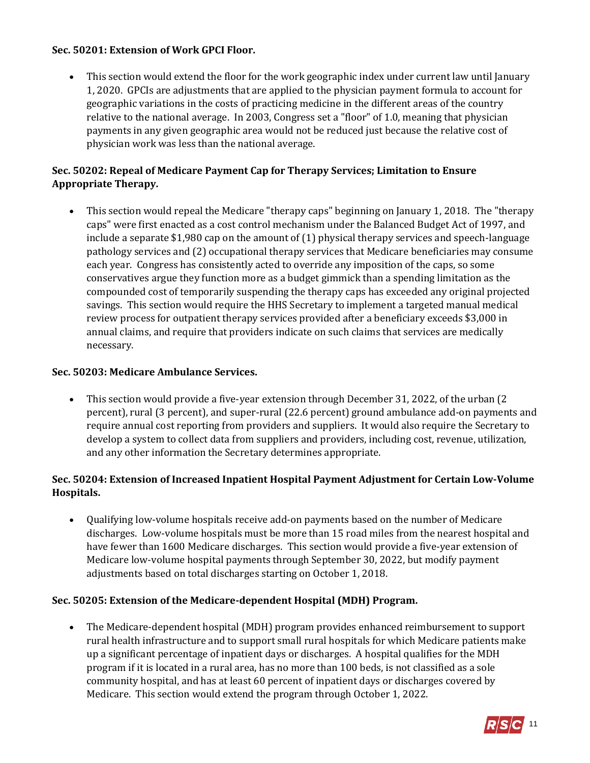## **Sec. 50201: Extension of Work GPCI Floor.**

 This section would extend the floor for the work geographic index under current law until January 1, 2020. GPCIs are adjustments that are applied to the physician payment formula to account for geographic variations in the costs of practicing medicine in the different areas of the country relative to the national average. In 2003, Congress set a "floor" of 1.0, meaning that physician payments in any given geographic area would not be reduced just because the relative cost of physician work was less than the national average.

# **Sec. 50202: Repeal of Medicare Payment Cap for Therapy Services; Limitation to Ensure Appropriate Therapy.**

 This section would repeal the Medicare "therapy caps" beginning on January 1, 2018. The "therapy caps" were first enacted as a cost control mechanism under the Balanced Budget Act of 1997, and include a separate \$1,980 cap on the amount of (1) physical therapy services and speech-language pathology services and (2) occupational therapy services that Medicare beneficiaries may consume each year. Congress has consistently acted to override any imposition of the caps, so some conservatives argue they function more as a budget gimmick than a spending limitation as the compounded cost of temporarily suspending the therapy caps has exceeded any original projected savings. This section would require the HHS Secretary to implement a targeted manual medical review process for outpatient therapy services provided after a beneficiary exceeds \$3,000 in annual claims, and require that providers indicate on such claims that services are medically necessary.

## **Sec. 50203: Medicare Ambulance Services.**

 This section would provide a five-year extension through December 31, 2022, of the urban (2 percent), rural (3 percent), and super-rural (22.6 percent) ground ambulance add-on payments and require annual cost reporting from providers and suppliers. It would also require the Secretary to develop a system to collect data from suppliers and providers, including cost, revenue, utilization, and any other information the Secretary determines appropriate.

# **Sec. 50204: Extension of Increased Inpatient Hospital Payment Adjustment for Certain Low-Volume Hospitals.**

 Qualifying low-volume hospitals receive add-on payments based on the number of Medicare discharges. Low-volume hospitals must be more than 15 road miles from the nearest hospital and have fewer than 1600 Medicare discharges. This section would provide a five-year extension of Medicare low-volume hospital payments through September 30, 2022, but modify payment adjustments based on total discharges starting on October 1, 2018.

#### **Sec. 50205: Extension of the Medicare-dependent Hospital (MDH) Program.**

 The Medicare-dependent hospital (MDH) program provides enhanced reimbursement to support rural health infrastructure and to support small rural hospitals for which Medicare patients make up a significant percentage of inpatient days or discharges. A hospital qualifies for the MDH program if it is located in a rural area, has no more than 100 beds, is not classified as a sole community hospital, and has at least 60 percent of inpatient days or discharges covered by Medicare. This section would extend the program through October 1, 2022.

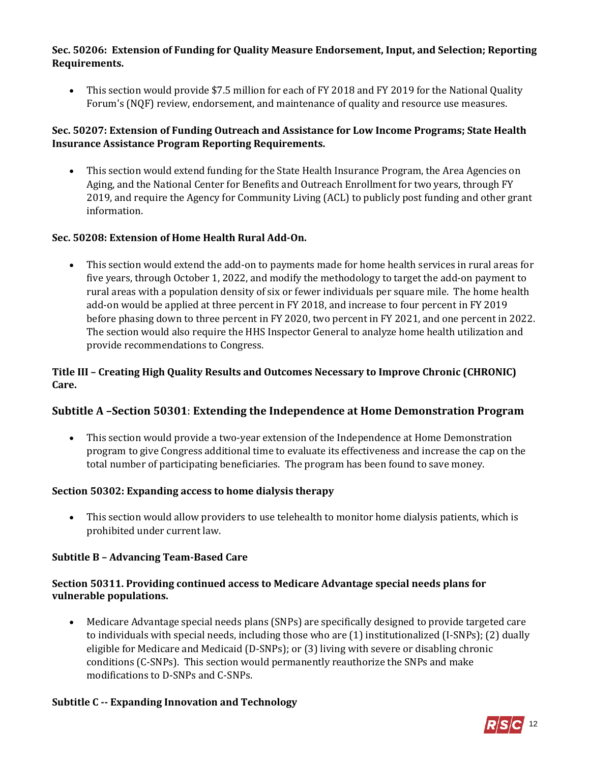#### **Sec. 50206: Extension of Funding for Quality Measure Endorsement, Input, and Selection; Reporting Requirements.**

• This section would provide \$7.5 million for each of FY 2018 and FY 2019 for the National Quality Forum's (NQF) review, endorsement, and maintenance of quality and resource use measures.

# **Sec. 50207: Extension of Funding Outreach and Assistance for Low Income Programs; State Health Insurance Assistance Program Reporting Requirements.**

 This section would extend funding for the State Health Insurance Program, the Area Agencies on Aging, and the National Center for Benefits and Outreach Enrollment for two years, through FY 2019, and require the Agency for Community Living (ACL) to publicly post funding and other grant information.

# **Sec. 50208: Extension of Home Health Rural Add-On.**

 This section would extend the add-on to payments made for home health services in rural areas for five years, through October 1, 2022, and modify the methodology to target the add-on payment to rural areas with a population density of six or fewer individuals per square mile. The home health add-on would be applied at three percent in FY 2018, and increase to four percent in FY 2019 before phasing down to three percent in FY 2020, two percent in FY 2021, and one percent in 2022. The section would also require the HHS Inspector General to analyze home health utilization and provide recommendations to Congress.

#### **Title III – Creating High Quality Results and Outcomes Necessary to Improve Chronic (CHRONIC) Care.**

# **Subtitle A** *–***Section 50301**: **Extending the Independence at Home Demonstration Program**

 This section would provide a two-year extension of the Independence at Home Demonstration program to give Congress additional time to evaluate its effectiveness and increase the cap on the total number of participating beneficiaries. The program has been found to save money.

#### **Section 50302: Expanding access to home dialysis therapy**

 This section would allow providers to use telehealth to monitor home dialysis patients, which is prohibited under current law.

#### **Subtitle B – Advancing Team-Based Care**

# **Section 50311. Providing continued access to Medicare Advantage special needs plans for vulnerable populations.**

 Medicare Advantage special needs plans (SNPs) are specifically designed to provide targeted care to individuals with special needs, including those who are (1) institutionalized (I-SNPs); (2) dually eligible for Medicare and Medicaid (D-SNPs); or (3) living with severe or disabling chronic conditions (C-SNPs). This section would permanently reauthorize the SNPs and make modifications to D-SNPs and C-SNPs.

# **Subtitle C -- Expanding Innovation and Technology**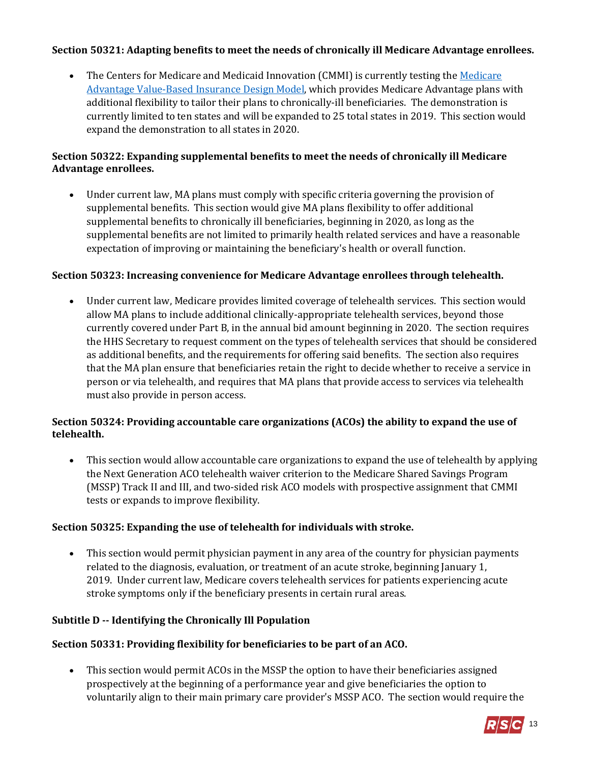## **Section 50321: Adapting benefits to meet the needs of chronically ill Medicare Advantage enrollees.**

 The Centers for Medicare and Medicaid Innovation (CMMI) is currently testing the [Medicare](https://innovation.cms.gov/initiatives/vbid/)  [Advantage Value-Based Insurance Design Model,](https://innovation.cms.gov/initiatives/vbid/) which provides Medicare Advantage plans with additional flexibility to tailor their plans to chronically-ill beneficiaries. The demonstration is currently limited to ten states and will be expanded to 25 total states in 2019. This section would expand the demonstration to all states in 2020.

## **Section 50322: Expanding supplemental benefits to meet the needs of chronically ill Medicare Advantage enrollees.**

 Under current law, MA plans must comply with specific criteria governing the provision of supplemental benefits. This section would give MA plans flexibility to offer additional supplemental benefits to chronically ill beneficiaries, beginning in 2020, as long as the supplemental benefits are not limited to primarily health related services and have a reasonable expectation of improving or maintaining the beneficiary's health or overall function.

## **Section 50323: Increasing convenience for Medicare Advantage enrollees through telehealth.**

 Under current law, Medicare provides limited coverage of telehealth services. This section would allow MA plans to include additional clinically-appropriate telehealth services, beyond those currently covered under Part B, in the annual bid amount beginning in 2020. The section requires the HHS Secretary to request comment on the types of telehealth services that should be considered as additional benefits, and the requirements for offering said benefits. The section also requires that the MA plan ensure that beneficiaries retain the right to decide whether to receive a service in person or via telehealth, and requires that MA plans that provide access to services via telehealth must also provide in person access.

## **Section 50324: Providing accountable care organizations (ACOs) the ability to expand the use of telehealth.**

 This section would allow accountable care organizations to expand the use of telehealth by applying the Next Generation ACO telehealth waiver criterion to the Medicare Shared Savings Program (MSSP) Track II and III, and two-sided risk ACO models with prospective assignment that CMMI tests or expands to improve flexibility.

# **Section 50325: Expanding the use of telehealth for individuals with stroke.**

 This section would permit physician payment in any area of the country for physician payments related to the diagnosis, evaluation, or treatment of an acute stroke, beginning January 1, 2019. Under current law, Medicare covers telehealth services for patients experiencing acute stroke symptoms only if the beneficiary presents in certain rural areas.

#### **Subtitle D -- Identifying the Chronically Ill Population**

# **Section 50331: Providing flexibility for beneficiaries to be part of an ACO.**

 This section would permit ACOs in the MSSP the option to have their beneficiaries assigned prospectively at the beginning of a performance year and give beneficiaries the option to voluntarily align to their main primary care provider's MSSP ACO. The section would require the

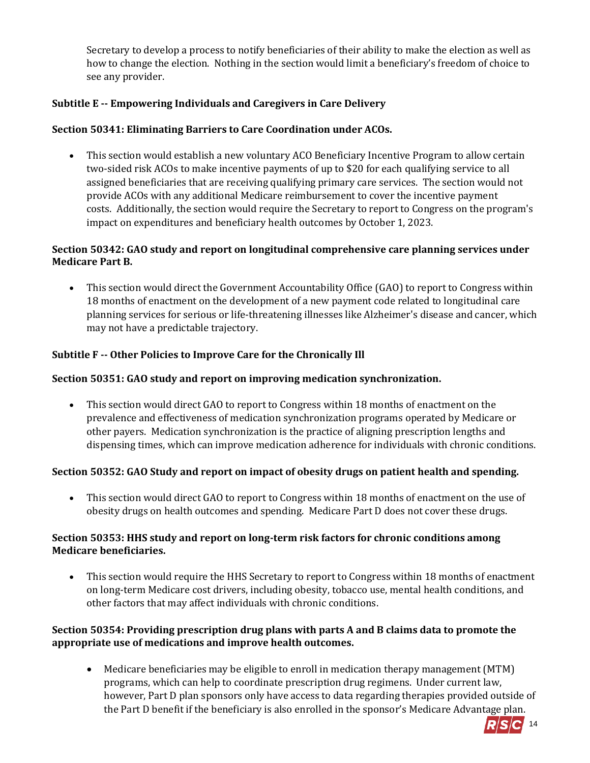Secretary to develop a process to notify beneficiaries of their ability to make the election as well as how to change the election. Nothing in the section would limit a beneficiary's freedom of choice to see any provider.

# **Subtitle E -- Empowering Individuals and Caregivers in Care Delivery**

## **Section 50341: Eliminating Barriers to Care Coordination under ACOs.**

 This section would establish a new voluntary ACO Beneficiary Incentive Program to allow certain two-sided risk ACOs to make incentive payments of up to \$20 for each qualifying service to all assigned beneficiaries that are receiving qualifying primary care services. The section would not provide ACOs with any additional Medicare reimbursement to cover the incentive payment costs. Additionally, the section would require the Secretary to report to Congress on the program's impact on expenditures and beneficiary health outcomes by October 1, 2023.

## **Section 50342: GAO study and report on longitudinal comprehensive care planning services under Medicare Part B.**

 This section would direct the Government Accountability Office (GAO) to report to Congress within 18 months of enactment on the development of a new payment code related to longitudinal care planning services for serious or life-threatening illnesses like Alzheimer's disease and cancer, which may not have a predictable trajectory.

# **Subtitle F -- Other Policies to Improve Care for the Chronically Ill**

## **Section 50351: GAO study and report on improving medication synchronization.**

 This section would direct GAO to report to Congress within 18 months of enactment on the prevalence and effectiveness of medication synchronization programs operated by Medicare or other payers. Medication synchronization is the practice of aligning prescription lengths and dispensing times, which can improve medication adherence for individuals with chronic conditions.

# **Section 50352: GAO Study and report on impact of obesity drugs on patient health and spending.**

 This section would direct GAO to report to Congress within 18 months of enactment on the use of obesity drugs on health outcomes and spending. Medicare Part D does not cover these drugs.

## **Section 50353: HHS study and report on long-term risk factors for chronic conditions among Medicare beneficiaries.**

 This section would require the HHS Secretary to report to Congress within 18 months of enactment on long-term Medicare cost drivers, including obesity, tobacco use, mental health conditions, and other factors that may affect individuals with chronic conditions.

#### **Section 50354: Providing prescription drug plans with parts A and B claims data to promote the appropriate use of medications and improve health outcomes.**

 Medicare beneficiaries may be eligible to enroll in medication therapy management (MTM) programs, which can help to coordinate prescription drug regimens. Under current law, however, Part D plan sponsors only have access to data regarding therapies provided outside of the Part D benefit if the beneficiary is also enrolled in the sponsor's Medicare Advantage plan.

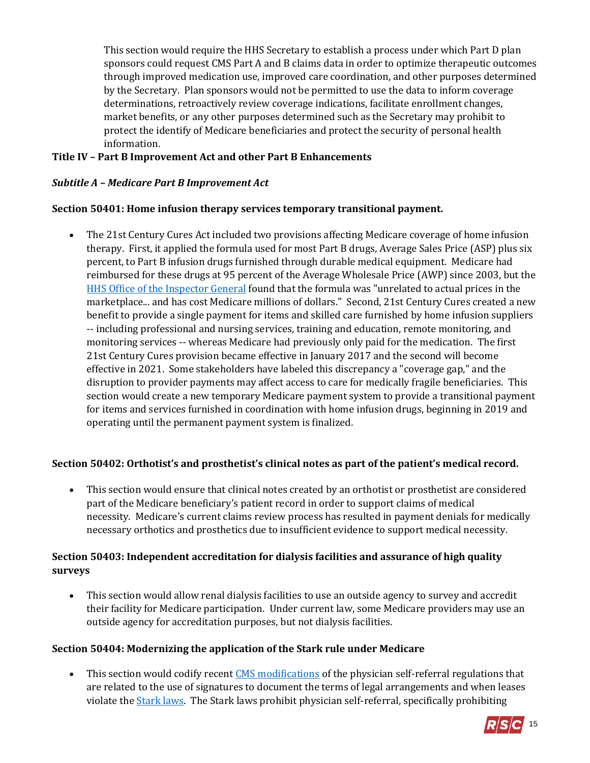This section would require the HHS Secretary to establish a process under which Part D plan sponsors could request CMS Part A and B claims data in order to optimize therapeutic outcomes through improved medication use, improved care coordination, and other purposes determined by the Secretary. Plan sponsors would not be permitted to use the data to inform coverage determinations, retroactively review coverage indications, facilitate enrollment changes, market benefits, or any other purposes determined such as the Secretary may prohibit to protect the identify of Medicare beneficiaries and protect the security of personal health information.

## **Title IV – Part B Improvement Act and other Part B Enhancements**

#### *Subtitle A – Medicare Part B Improvement Act*

#### **Section 50401: Home infusion therapy services temporary transitional payment.**

 The 21st Century Cures Act included two provisions affecting Medicare coverage of home infusion therapy. First, it applied the formula used for most Part B drugs, Average Sales Price (ASP) plus six percent, to Part B infusion drugs furnished through durable medical equipment. Medicare had reimbursed for these drugs at 95 percent of the Average Wholesale Price (AWP) since 2003, but the [HHS Office of the Inspector General](https://oig.hhs.gov/oei/reports/oei-12-12-00310.pdf) found that the formula was "unrelated to actual prices in the marketplace... and has cost Medicare millions of dollars." Second, 21st Century Cures created a new benefit to provide a single payment for items and skilled care furnished by home infusion suppliers -- including professional and nursing services, training and education, remote monitoring, and monitoring services -- whereas Medicare had previously only paid for the medication. The first 21st Century Cures provision became effective in January 2017 and the second will become effective in 2021. Some stakeholders have labeled this discrepancy a "coverage gap," and the disruption to provider payments may affect access to care for medically fragile beneficiaries. This section would create a new temporary Medicare payment system to provide a transitional payment for items and services furnished in coordination with home infusion drugs, beginning in 2019 and operating until the permanent payment system is finalized.

#### **Section 50402: Orthotist's and prosthetist's clinical notes as part of the patient's medical record.**

 This section would ensure that clinical notes created by an orthotist or prosthetist are considered part of the Medicare beneficiary's patient record in order to support claims of medical necessity. Medicare's current claims review process has resulted in payment denials for medically necessary orthotics and prosthetics due to insufficient evidence to support medical necessity.

## **Section 50403: Independent accreditation for dialysis facilities and assurance of high quality surveys**

 This section would allow renal dialysis facilities to use an outside agency to survey and accredit their facility for Medicare participation. Under current law, some Medicare providers may use an outside agency for accreditation purposes, but not dialysis facilities.

#### **Section 50404: Modernizing the application of the Stark rule under Medicare**

 This section would codify recen[t CMS modifications](https://www.cms.gov/Newsroom/MediaReleaseDatabase/Fact-sheets/2015-Fact-sheets-items/2015-10-30-2.html) of the physician self-referral regulations that are related to the use of signatures to document the terms of legal arrangements and when leases violate the [Stark laws.](https://www.cms.gov/Medicare/Fraud-and-Abuse/PhysicianSelfReferral/index.html?redirect=/physicianselfreferral/) The Stark laws prohibit physician self-referral, specifically prohibiting

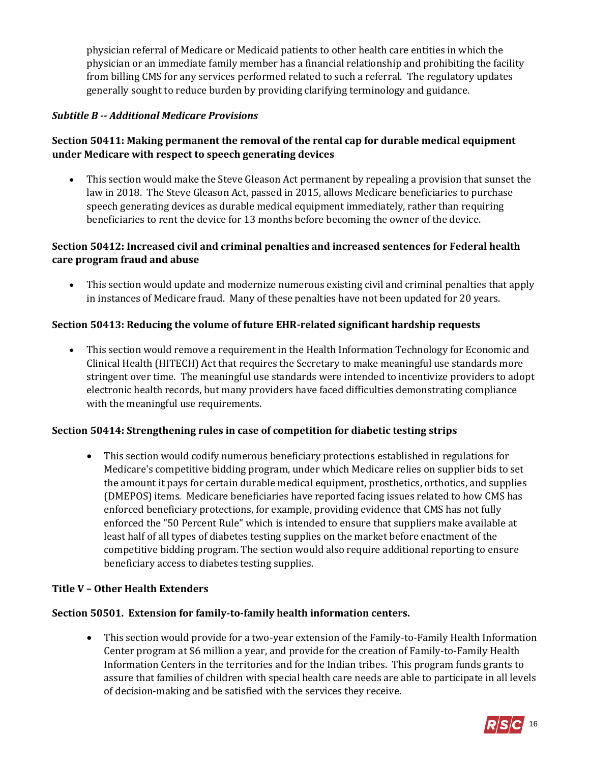physician referral of Medicare or Medicaid patients to other health care entities in which the physician or an immediate family member has a financial relationship and prohibiting the facility from billing CMS for any services performed related to such a referral. The regulatory updates generally sought to reduce burden by providing clarifying terminology and guidance.

#### *Subtitle B -- Additional Medicare Provisions*

# **Section 50411: Making permanent the removal of the rental cap for durable medical equipment under Medicare with respect to speech generating devices**

 This section would make the Steve Gleason Act permanent by repealing a provision that sunset the law in 2018. The Steve Gleason Act, passed in 2015, allows Medicare beneficiaries to purchase speech generating devices as durable medical equipment immediately, rather than requiring beneficiaries to rent the device for 13 months before becoming the owner of the device.

## **Section 50412: Increased civil and criminal penalties and increased sentences for Federal health care program fraud and abuse**

 This section would update and modernize numerous existing civil and criminal penalties that apply in instances of Medicare fraud. Many of these penalties have not been updated for 20 years.

#### **Section 50413: Reducing the volume of future EHR-related significant hardship requests**

 This section would remove a requirement in the Health Information Technology for Economic and Clinical Health (HITECH) Act that requires the Secretary to make meaningful use standards more stringent over time. The meaningful use standards were intended to incentivize providers to adopt electronic health records, but many providers have faced difficulties demonstrating compliance with the meaningful use requirements.

#### **Section 50414: Strengthening rules in case of competition for diabetic testing strips**

 This section would codify numerous beneficiary protections established in regulations for Medicare's competitive bidding program, under which Medicare relies on supplier bids to set the amount it pays for certain durable medical equipment, prosthetics, orthotics, and supplies (DMEPOS) items. Medicare beneficiaries have reported facing issues related to how CMS has enforced beneficiary protections, for example, providing evidence that CMS has not fully enforced the "50 Percent Rule" which is intended to ensure that suppliers make available at least half of all types of diabetes testing supplies on the market before enactment of the competitive bidding program. The section would also require additional reporting to ensure beneficiary access to diabetes testing supplies.

#### **Title V – Other Health Extenders**

#### **Section 50501. Extension for family-to-family health information centers.**

 This section would provide for a two-year extension of the Family-to-Family Health Information Center program at \$6 million a year, and provide for the creation of Family-to-Family Health Information Centers in the territories and for the Indian tribes. This program funds grants to assure that families of children with special health care needs are able to participate in all levels of decision-making and be satisfied with the services they receive.

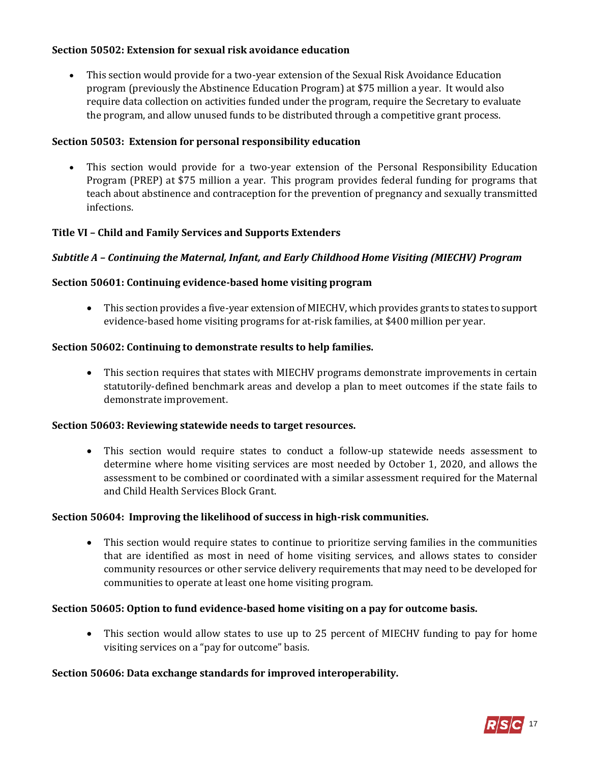## **Section 50502: Extension for sexual risk avoidance education**

 This section would provide for a two-year extension of the Sexual Risk Avoidance Education program (previously the Abstinence Education Program) at \$75 million a year. It would also require data collection on activities funded under the program, require the Secretary to evaluate the program, and allow unused funds to be distributed through a competitive grant process.

#### **Section 50503: Extension for personal responsibility education**

 This section would provide for a two-year extension of the Personal Responsibility Education Program (PREP) at \$75 million a year. This program provides federal funding for programs that teach about abstinence and contraception for the prevention of pregnancy and sexually transmitted infections.

## **Title VI – Child and Family Services and Supports Extenders**

#### *Subtitle A – Continuing the Maternal, Infant, and Early Childhood Home Visiting (MIECHV) Program*

#### **Section 50601: Continuing evidence-based home visiting program**

 This section provides a five-year extension of MIECHV, which provides grants to states to support evidence-based home visiting programs for at-risk families, at \$400 million per year.

#### **Section 50602: Continuing to demonstrate results to help families.**

 This section requires that states with MIECHV programs demonstrate improvements in certain statutorily-defined benchmark areas and develop a plan to meet outcomes if the state fails to demonstrate improvement.

#### **Section 50603: Reviewing statewide needs to target resources.**

 This section would require states to conduct a follow-up statewide needs assessment to determine where home visiting services are most needed by October 1, 2020, and allows the assessment to be combined or coordinated with a similar assessment required for the Maternal and Child Health Services Block Grant.

#### **Section 50604: Improving the likelihood of success in high-risk communities.**

 This section would require states to continue to prioritize serving families in the communities that are identified as most in need of home visiting services, and allows states to consider community resources or other service delivery requirements that may need to be developed for communities to operate at least one home visiting program.

#### **Section 50605: Option to fund evidence-based home visiting on a pay for outcome basis.**

 This section would allow states to use up to 25 percent of MIECHV funding to pay for home visiting services on a "pay for outcome" basis.

#### **Section 50606: Data exchange standards for improved interoperability.**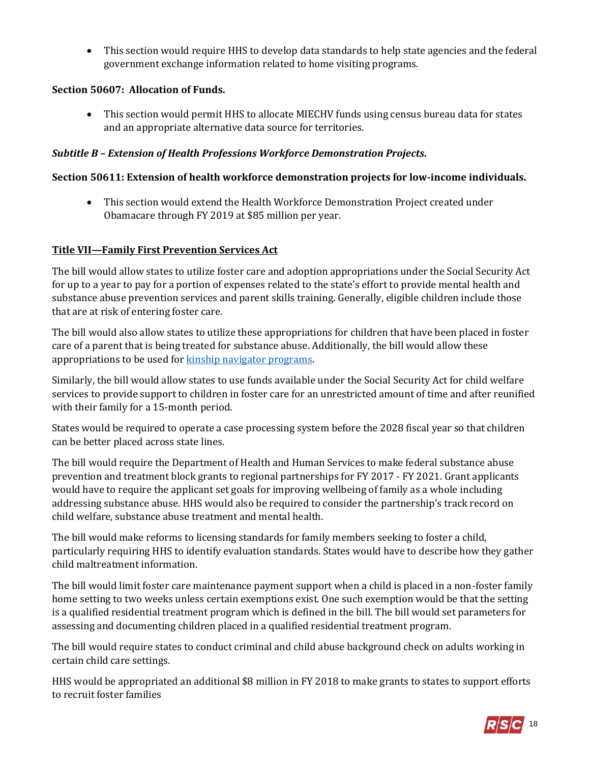This section would require HHS to develop data standards to help state agencies and the federal government exchange information related to home visiting programs.

# **Section 50607: Allocation of Funds.**

 This section would permit HHS to allocate MIECHV funds using census bureau data for states and an appropriate alternative data source for territories.

# *Subtitle B – Extension of Health Professions Workforce Demonstration Projects.*

# **Section 50611: Extension of health workforce demonstration projects for low-income individuals.**

 This section would extend the Health Workforce Demonstration Project created under Obamacare through FY 2019 at \$85 million per year.

## **Title VII—Family First Prevention Services Act**

The bill would allow states to utilize foster care and adoption appropriations under the Social Security Act for up to a year to pay for a portion of expenses related to the state's effort to provide mental health and substance abuse prevention services and parent skills training. Generally, eligible children include those that are at risk of entering foster care.

The bill would also allow states to utilize these appropriations for children that have been placed in foster care of a parent that is being treated for substance abuse. Additionally, the bill would allow these appropriations to be used fo[r kinship navigator programs.](http://www.childrensdefense.org/library/data/FCSIAA-kinship-navigator.pdf)

Similarly, the bill would allow states to use funds available under the Social Security Act for child welfare services to provide support to children in foster care for an unrestricted amount of time and after reunified with their family for a 15-month period.

States would be required to operate a case processing system before the 2028 fiscal year so that children can be better placed across state lines.

The bill would require the Department of Health and Human Services to make federal substance abuse prevention and treatment block grants to regional partnerships for FY 2017 - FY 2021. Grant applicants would have to require the applicant set goals for improving wellbeing of family as a whole including addressing substance abuse. HHS would also be required to consider the partnership's track record on child welfare, substance abuse treatment and mental health.

The bill would make reforms to licensing standards for family members seeking to foster a child, particularly requiring HHS to identify evaluation standards. States would have to describe how they gather child maltreatment information.

The bill would limit foster care maintenance payment support when a child is placed in a non-foster family home setting to two weeks unless certain exemptions exist. One such exemption would be that the setting is a qualified residential treatment program which is defined in the bill. The bill would set parameters for assessing and documenting children placed in a qualified residential treatment program.

The bill would require states to conduct criminal and child abuse background check on adults working in certain child care settings.

HHS would be appropriated an additional \$8 million in FY 2018 to make grants to states to support efforts to recruit foster families

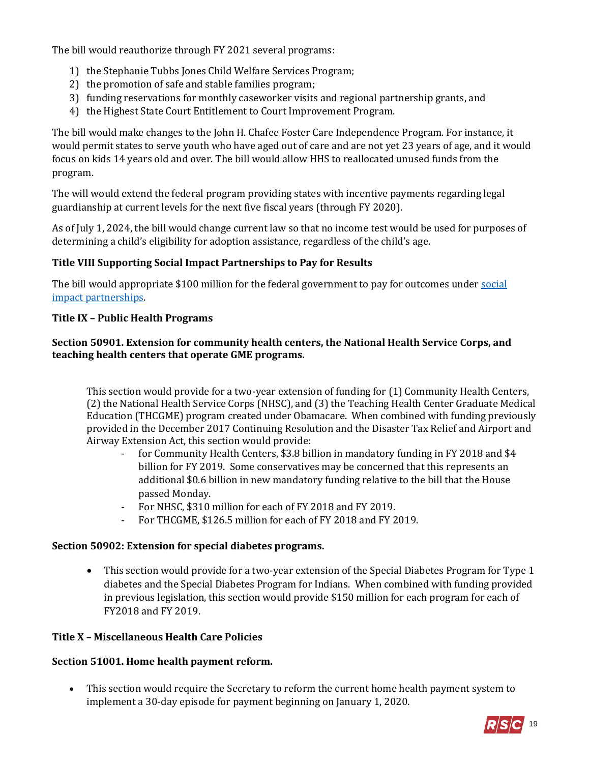The bill would reauthorize through FY 2021 several programs:

- 1) the Stephanie Tubbs Jones Child Welfare Services Program;
- 2) the promotion of safe and stable families program;
- 3) funding reservations for monthly caseworker visits and regional partnership grants, and
- 4) the Highest State Court Entitlement to Court Improvement Program.

The bill would make changes to the John H. Chafee Foster Care Independence Program. For instance, it would permit states to serve youth who have aged out of care and are not yet 23 years of age, and it would focus on kids 14 years old and over. The bill would allow HHS to reallocated unused funds from the program.

The will would extend the federal program providing states with incentive payments regarding legal guardianship at current levels for the next five fiscal years (through FY 2020).

As of July 1, 2024, the bill would change current law so that no income test would be used for purposes of determining a child's eligibility for adoption assistance, regardless of the child's age.

## **Title VIII Supporting Social Impact Partnerships to Pay for Results**

The bill would appropriate \$100 million for the federal government to pay for outcomes unde[r social](https://mainstreetadvocacy.com/social-impact-partnerships/)  [impact partnerships.](https://mainstreetadvocacy.com/social-impact-partnerships/)

#### **Title IX – Public Health Programs**

#### **Section 50901. Extension for community health centers, the National Health Service Corps, and teaching health centers that operate GME programs.**

This section would provide for a two-year extension of funding for (1) Community Health Centers, (2) the National Health Service Corps (NHSC), and (3) the Teaching Health Center Graduate Medical Education (THCGME) program created under Obamacare. When combined with funding previously provided in the December 2017 Continuing Resolution and the Disaster Tax Relief and Airport and Airway Extension Act, this section would provide:

- for Community Health Centers, \$3.8 billion in mandatory funding in FY 2018 and \$4 billion for FY 2019. Some conservatives may be concerned that this represents an additional \$0.6 billion in new mandatory funding relative to the bill that the House passed Monday.
- For NHSC, \$310 million for each of FY 2018 and FY 2019.
- For THCGME, \$126.5 million for each of FY 2018 and FY 2019.

#### **Section 50902: Extension for special diabetes programs.**

• This section would provide for a two-year extension of the Special Diabetes Program for Type 1 diabetes and the Special Diabetes Program for Indians. When combined with funding provided in previous legislation, this section would provide \$150 million for each program for each of FY2018 and FY 2019.

#### **Title X – Miscellaneous Health Care Policies**

#### **Section 51001. Home health payment reform.**

 This section would require the Secretary to reform the current home health payment system to implement a 30-day episode for payment beginning on January 1, 2020.

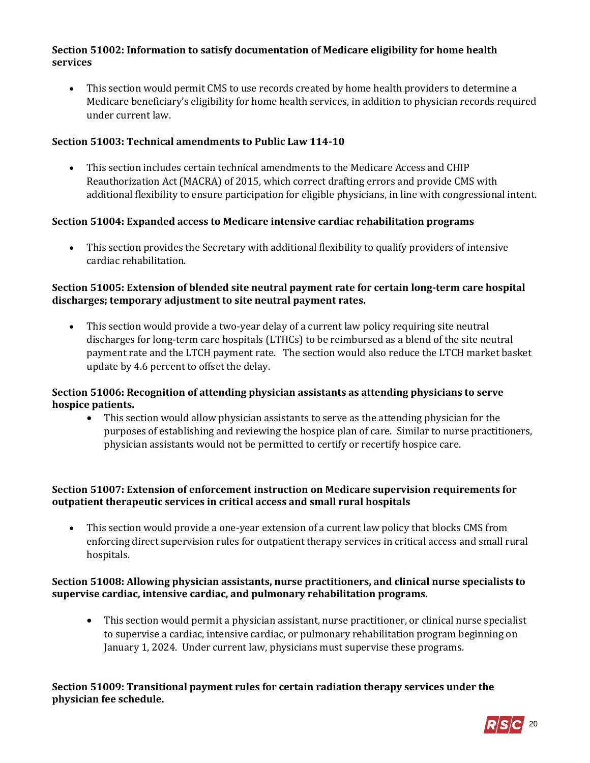## **Section 51002: Information to satisfy documentation of Medicare eligibility for home health services**

 This section would permit CMS to use records created by home health providers to determine a Medicare beneficiary's eligibility for home health services, in addition to physician records required under current law.

## **Section 51003: Technical amendments to Public Law 114-10**

 This section includes certain technical amendments to the Medicare Access and CHIP Reauthorization Act (MACRA) of 2015, which correct drafting errors and provide CMS with additional flexibility to ensure participation for eligible physicians, in line with congressional intent.

## **Section 51004: Expanded access to Medicare intensive cardiac rehabilitation programs**

 This section provides the Secretary with additional flexibility to qualify providers of intensive cardiac rehabilitation.

#### **Section 51005: Extension of blended site neutral payment rate for certain long-term care hospital discharges; temporary adjustment to site neutral payment rates.**

 This section would provide a two-year delay of a current law policy requiring site neutral discharges for long-term care hospitals (LTHCs) to be reimbursed as a blend of the site neutral payment rate and the LTCH payment rate. The section would also reduce the LTCH market basket update by 4.6 percent to offset the delay.

## **Section 51006: Recognition of attending physician assistants as attending physicians to serve hospice patients.**

 This section would allow physician assistants to serve as the attending physician for the purposes of establishing and reviewing the hospice plan of care. Similar to nurse practitioners, physician assistants would not be permitted to certify or recertify hospice care.

## **Section 51007: Extension of enforcement instruction on Medicare supervision requirements for outpatient therapeutic services in critical access and small rural hospitals**

 This section would provide a one-year extension of a current law policy that blocks CMS from enforcing direct supervision rules for outpatient therapy services in critical access and small rural hospitals.

## **Section 51008: Allowing physician assistants, nurse practitioners, and clinical nurse specialists to supervise cardiac, intensive cardiac, and pulmonary rehabilitation programs.**

 This section would permit a physician assistant, nurse practitioner, or clinical nurse specialist to supervise a cardiac, intensive cardiac, or pulmonary rehabilitation program beginning on January 1, 2024. Under current law, physicians must supervise these programs.

## **Section 51009: Transitional payment rules for certain radiation therapy services under the physician fee schedule.**

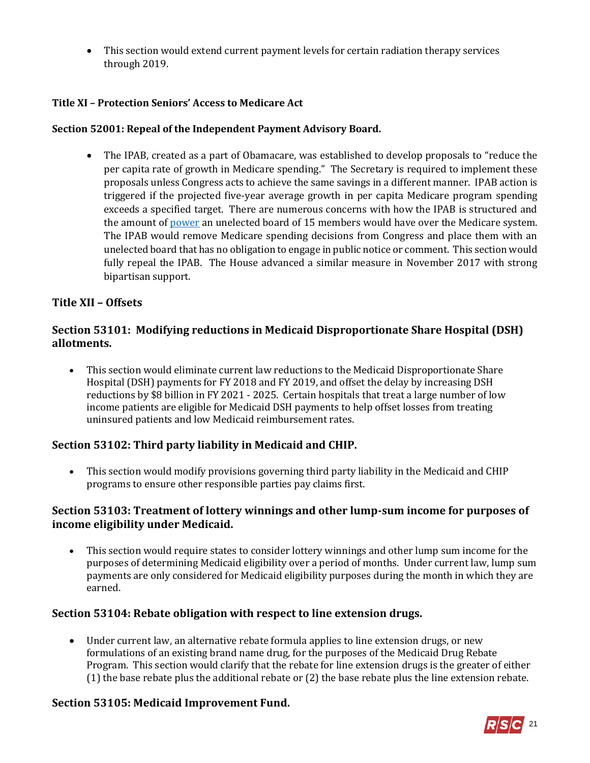This section would extend current payment levels for certain radiation therapy services through 2019.

# **Title XI – Protection Seniors' Access to Medicare Act**

## **Section 52001: Repeal of the Independent Payment Advisory Board.**

 The IPAB, created as a part of Obamacare, was established to develop proposals to "reduce the per capita rate of growth in Medicare spending." The Secretary is required to implement these proposals unless Congress acts to achieve the same savings in a different manner. IPAB action is triggered if the projected five-year average growth in per capita Medicare program spending exceeds a specified target. There are numerous concerns with how the IPAB is structured and the amount of **power** an unelected board of 15 members would have over the Medicare system. The IPAB would remove Medicare spending decisions from Congress and place them with an unelected board that has no obligation to engage in public notice or comment. This section would fully repeal the IPAB. The House advanced a similar measure in November 2017 with strong bipartisan support.

# **Title XII – Offsets**

# **Section 53101: Modifying reductions in Medicaid Disproportionate Share Hospital (DSH) allotments.**

 This section would eliminate current law reductions to the Medicaid Disproportionate Share Hospital (DSH) payments for FY 2018 and FY 2019, and offset the delay by increasing DSH reductions by \$8 billion in FY 2021 - 2025. Certain hospitals that treat a large number of low income patients are eligible for Medicaid DSH payments to help offset losses from treating uninsured patients and low Medicaid reimbursement rates.

# **Section 53102: Third party liability in Medicaid and CHIP.**

 This section would modify provisions governing third party liability in the Medicaid and CHIP programs to ensure other responsible parties pay claims first.

# **Section 53103: Treatment of lottery winnings and other lump-sum income for purposes of income eligibility under Medicaid.**

 This section would require states to consider lottery winnings and other lump sum income for the purposes of determining Medicaid eligibility over a period of months. Under current law, lump sum payments are only considered for Medicaid eligibility purposes during the month in which they are earned.

# **Section 53104: Rebate obligation with respect to line extension drugs.**

 Under current law, an alternative rebate formula applies to line extension drugs, or new formulations of an existing brand name drug, for the purposes of the Medicaid Drug Rebate Program. This section would clarify that the rebate for line extension drugs is the greater of either (1) the base rebate plus the additional rebate or (2) the base rebate plus the line extension rebate.

# **Section 53105: Medicaid Improvement Fund.**

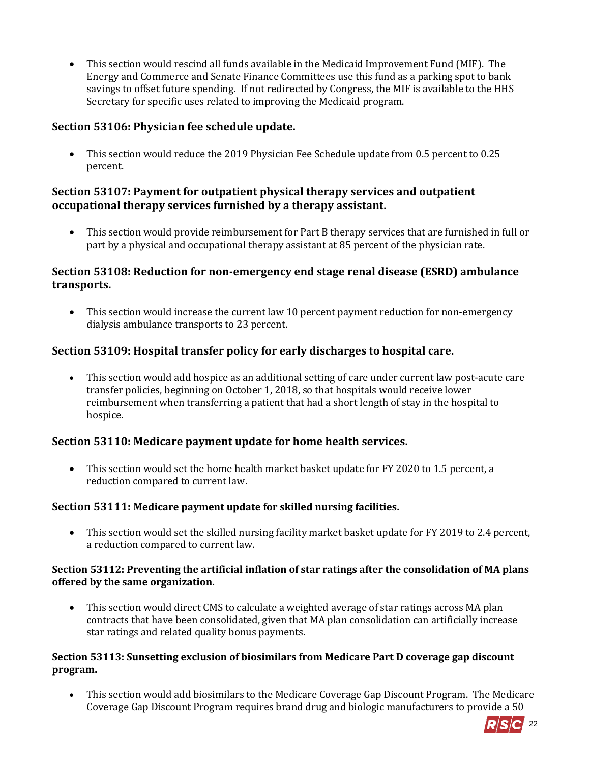This section would rescind all funds available in the Medicaid Improvement Fund (MIF). The Energy and Commerce and Senate Finance Committees use this fund as a parking spot to bank savings to offset future spending. If not redirected by Congress, the MIF is available to the HHS Secretary for specific uses related to improving the Medicaid program.

# **Section 53106: Physician fee schedule update.**

 This section would reduce the 2019 Physician Fee Schedule update from 0.5 percent to 0.25 percent.

## **Section 53107: Payment for outpatient physical therapy services and outpatient occupational therapy services furnished by a therapy assistant.**

 This section would provide reimbursement for Part B therapy services that are furnished in full or part by a physical and occupational therapy assistant at 85 percent of the physician rate.

# **Section 53108: Reduction for non-emergency end stage renal disease (ESRD) ambulance transports.**

• This section would increase the current law 10 percent payment reduction for non-emergency dialysis ambulance transports to 23 percent.

# **Section 53109: Hospital transfer policy for early discharges to hospital care.**

 This section would add hospice as an additional setting of care under current law post-acute care transfer policies, beginning on October 1, 2018, so that hospitals would receive lower reimbursement when transferring a patient that had a short length of stay in the hospital to hospice.

# **Section 53110: Medicare payment update for home health services.**

 This section would set the home health market basket update for FY 2020 to 1.5 percent, a reduction compared to current law.

#### **Section 53111: Medicare payment update for skilled nursing facilities.**

 This section would set the skilled nursing facility market basket update for FY 2019 to 2.4 percent, a reduction compared to current law.

#### **Section 53112: Preventing the artificial inflation of star ratings after the consolidation of MA plans offered by the same organization.**

 This section would direct CMS to calculate a weighted average of star ratings across MA plan contracts that have been consolidated, given that MA plan consolidation can artificially increase star ratings and related quality bonus payments.

## **Section 53113: Sunsetting exclusion of biosimilars from Medicare Part D coverage gap discount program.**

 This section would add biosimilars to the Medicare Coverage Gap Discount Program. The Medicare Coverage Gap Discount Program requires brand drug and biologic manufacturers to provide a 50

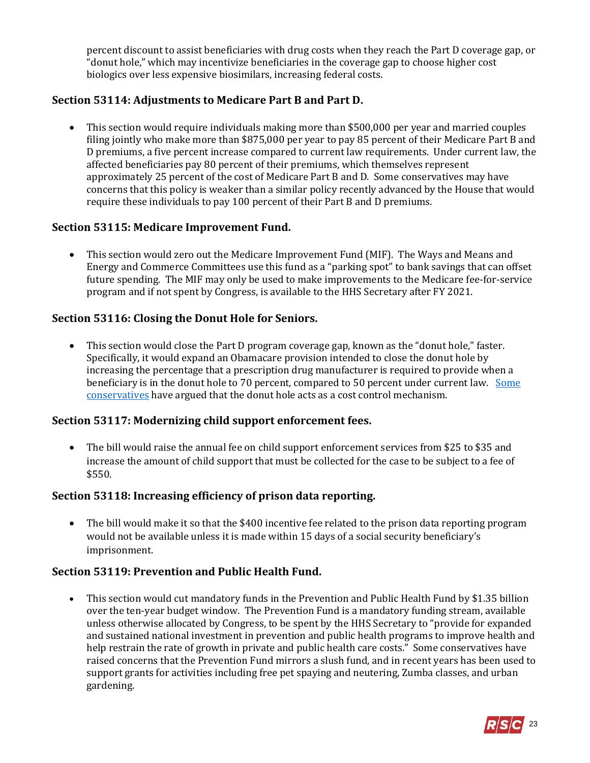percent discount to assist beneficiaries with drug costs when they reach the Part D coverage gap, or "donut hole," which may incentivize beneficiaries in the coverage gap to choose higher cost biologics over less expensive biosimilars, increasing federal costs.

## **Section 53114: Adjustments to Medicare Part B and Part D.**

 This section would require individuals making more than \$500,000 per year and married couples filing jointly who make more than \$875,000 per year to pay 85 percent of their Medicare Part B and D premiums, a five percent increase compared to current law requirements. Under current law, the affected beneficiaries pay 80 percent of their premiums, which themselves represent approximately 25 percent of the cost of Medicare Part B and D. Some conservatives may have concerns that this policy is weaker than a similar policy recently advanced by the House that would require these individuals to pay 100 percent of their Part B and D premiums.

#### **Section 53115: Medicare Improvement Fund.**

 This section would zero out the Medicare Improvement Fund (MIF). The Ways and Means and Energy and Commerce Committees use this fund as a "parking spot" to bank savings that can offset future spending. The MIF may only be used to make improvements to the Medicare fee-for-service program and if not spent by Congress, is available to the HHS Secretary after FY 2021.

## **Section 53116: Closing the Donut Hole for Seniors.**

 This section would close the Part D program coverage gap, known as the "donut hole," faster. Specifically, it would expand an Obamacare provision intended to close the donut hole by increasing the percentage that a prescription drug manufacturer is required to provide when a beneficiary is in the donut hole to 70 percent, compared to 50 percent under current law. [Some](https://www.forbes.com/sites/theapothecary/2012/05/23/why-closing-medicares-donut-hole-is-a-terrible-idea/#3b55120e563f)  [conservatives](https://www.forbes.com/sites/theapothecary/2012/05/23/why-closing-medicares-donut-hole-is-a-terrible-idea/#3b55120e563f) have argued that the donut hole acts as a cost control mechanism.

#### **Section 53117: Modernizing child support enforcement fees.**

 The bill would raise the annual fee on child support enforcement services from \$25 to \$35 and increase the amount of child support that must be collected for the case to be subject to a fee of \$550.

#### **Section 53118: Increasing efficiency of prison data reporting.**

• The bill would make it so that the \$400 incentive fee related to the prison data reporting program would not be available unless it is made within 15 days of a social security beneficiary's imprisonment.

#### **Section 53119: Prevention and Public Health Fund.**

 This section would cut mandatory funds in the Prevention and Public Health Fund by \$1.35 billion over the ten-year budget window. The Prevention Fund is a mandatory funding stream, available unless otherwise allocated by Congress, to be spent by the HHS Secretary to "provide for expanded and sustained national investment in prevention and public health programs to improve health and help restrain the rate of growth in private and public health care costs." Some conservatives have raised concerns that the Prevention Fund mirrors a slush fund, and in recent years has been used to support grants for activities including free pet spaying and neutering, Zumba classes, and urban gardening.

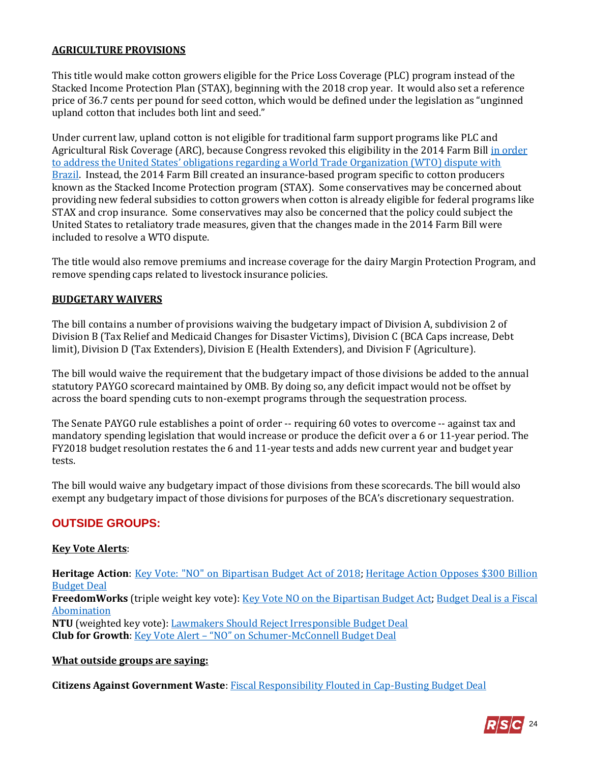#### **AGRICULTURE PROVISIONS**

This title would make cotton growers eligible for the Price Loss Coverage (PLC) program instead of the Stacked Income Protection Plan (STAX), beginning with the 2018 crop year. It would also set a reference price of 36.7 cents per pound for seed cotton, which would be defined under the legislation as "unginned upland cotton that includes both lint and seed."

Under current law, upland cotton is not eligible for traditional farm support programs like PLC and Agricultural Risk Coverage (ARC), because Congress revoked this eligibility in the 2014 Farm Bil[l in order](https://ustr.gov/about-us/policy-offices/press-office/press-releases/2014/October/United-States-and-Brazil-Reach-Agreement-to-End-WTO-Cotton-Dispute)  [to address the United States' obligations regarding a World Trade Organization \(WTO\) dispute with](https://ustr.gov/about-us/policy-offices/press-office/press-releases/2014/October/United-States-and-Brazil-Reach-Agreement-to-End-WTO-Cotton-Dispute)  [Brazil.](https://ustr.gov/about-us/policy-offices/press-office/press-releases/2014/October/United-States-and-Brazil-Reach-Agreement-to-End-WTO-Cotton-Dispute) Instead, the 2014 Farm Bill created an insurance-based program specific to cotton producers known as the Stacked Income Protection program (STAX). Some conservatives may be concerned about providing new federal subsidies to cotton growers when cotton is already eligible for federal programs like STAX and crop insurance. Some conservatives may also be concerned that the policy could subject the United States to retaliatory trade measures, given that the changes made in the 2014 Farm Bill were included to resolve a WTO dispute.

The title would also remove premiums and increase coverage for the dairy Margin Protection Program, and remove spending caps related to livestock insurance policies.

#### **BUDGETARY WAIVERS**

The bill contains a number of provisions waiving the budgetary impact of Division A, subdivision 2 of Division B (Tax Relief and Medicaid Changes for Disaster Victims), Division C (BCA Caps increase, Debt limit), Division D (Tax Extenders), Division E (Health Extenders), and Division F (Agriculture).

The bill would waive the requirement that the budgetary impact of those divisions be added to the annual statutory PAYGO scorecard maintained by OMB. By doing so, any deficit impact would not be offset by across the board spending cuts to non-exempt programs through the sequestration process.

The Senate PAYGO rule establishes a point of order -- requiring 60 votes to overcome -- against tax and mandatory spending legislation that would increase or produce the deficit over a 6 or 11-year period. The FY2018 budget resolution restates the 6 and 11-year tests and adds new current year and budget year tests.

The bill would waive any budgetary impact of those divisions from these scorecards. The bill would also exempt any budgetary impact of those divisions for purposes of the BCA's discretionary sequestration.

# **OUTSIDE GROUPS:**

#### **Key Vote Alerts**:

**Heritage Action**: Key [Vote: "NO" on Bipartisan Budget Act of 2018;](https://heritageaction.com/key-vote/no-bipartisan-budget-act-2018-senate) [Heritage Action Opposes \\$300 Billion](https://heritageaction.com/press/heritage-action-opposes-300-billion-budget-deal)  [Budget Deal](https://heritageaction.com/press/heritage-action-opposes-300-billion-budget-deal) **FreedomWorks** (triple weight key vote): [Key Vote NO on the Bipartisan Budget Act;](http://www.freedomworks.org/content/key-vote-no-bipartisan-budget-act) [Budget Deal is a Fiscal](http://www.freedomworks.org/content/budget-deal-fiscal-abomination)  [Abomination](http://www.freedomworks.org/content/budget-deal-fiscal-abomination) **NTU** (weighted key vote): [Lawmakers Should Reject Irresponsible Budget Deal](https://www.ntu.org/governmentbytes/detail/lawmakers-should-oppose-irresponsible-budget-deal) **Club for Growth**: Key Vote Alert – "NO" on Schumer[-McConnell Budget Deal](https://www.clubforgrowth.org/key-votes/key-vote-alert-no-on-schumer-mcconnell-budget-deal-2/)

#### **What outside groups are saying:**

**Citizens Against Government Waste**: [Fiscal Responsibility Flouted in Cap-Busting Budget Deal](https://www.cagw.org/media/press-releases/cagw-fiscal-responsibility-flouted-cap-busting-budget-deal)